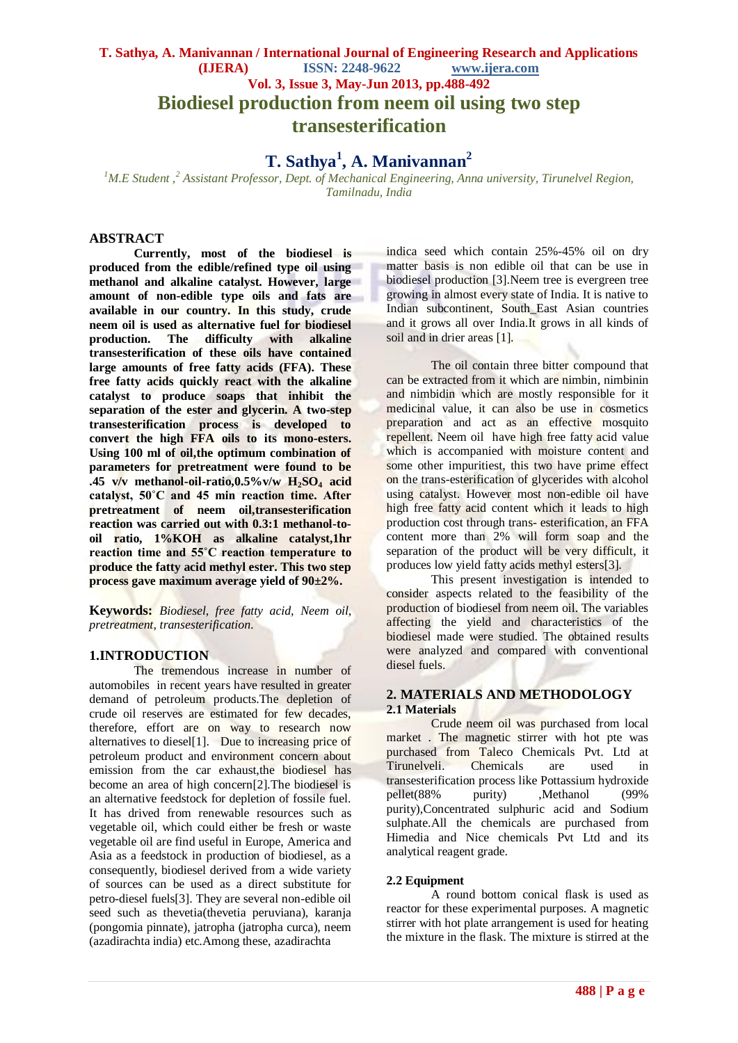# **T. Sathya, A. Manivannan / International Journal of Engineering Research and Applications (IJERA) ISSN: 2248-9622 www.ijera.com Vol. 3, Issue 3, May-Jun 2013, pp.488-492 Biodiesel production from neem oil using two step transesterification**

# **T. Sathya<sup>1</sup> , A. Manivannan<sup>2</sup>**

*<sup>1</sup>M.E Student ,<sup>2</sup> Assistant Professor, Dept. of Mechanical Engineering, Anna university, Tirunelvel Region, Tamilnadu, India*

# **ABSTRACT**

**Currently, most of the biodiesel is produced from the edible/refined type oil using methanol and alkaline catalyst. However, large amount of non-edible type oils and fats are available in our country. In this study, crude neem oil is used as alternative fuel for biodiesel production. The difficulty with alkaline transesterification of these oils have contained large amounts of free fatty acids (FFA). These free fatty acids quickly react with the alkaline catalyst to produce soaps that inhibit the separation of the ester and glycerin. A two-step transesterification process is developed to convert the high FFA oils to its mono-esters. Using 100 ml of oil,the optimum combination of parameters for pretreatment were found to be .45 v/v methanol-oil-ratio,0.5%v/w H2SO<sup>4</sup> acid catalyst, 50˚C and 45 min reaction time. After pretreatment of neem oil,transesterification reaction was carried out with 0.3:1 methanol-tooil ratio, 1%KOH as alkaline catalyst,1hr reaction time and 55˚C reaction temperature to produce the fatty acid methyl ester. This two step process gave maximum average yield of 90±2%.** 

**Keywords:** *Biodiesel, free fatty acid, Neem oil, pretreatment, transesterification*.

#### **1.INTRODUCTION**

The tremendous increase in number of automobiles in recent years have resulted in greater demand of petroleum products.The depletion of crude oil reserves are estimated for few decades, therefore, effort are on way to research now alternatives to diesel[1]. Due to increasing price of petroleum product and environment concern about emission from the car exhaust,the biodiesel has become an area of high concern[2].The biodiesel is an alternative feedstock for depletion of fossile fuel. It has drived from renewable resources such as vegetable oil, which could either be fresh or waste vegetable oil are find useful in Europe, America and Asia as a feedstock in production of biodiesel, as a consequently, biodiesel derived from a wide variety of sources can be used as a direct substitute for petro-diesel fuels[3]. They are several non-edible oil seed such as thevetia(thevetia peruviana), karanja (pongomia pinnate), jatropha (jatropha curca), neem (azadirachta india) etc.Among these, azadirachta

indica seed which contain 25%-45% oil on dry matter basis is non edible oil that can be use in biodiesel production [3].Neem tree is evergreen tree growing in almost every state of India. It is native to Indian subcontinent, South\_East Asian countries and it grows all over India.It grows in all kinds of soil and in drier areas [1].

The oil contain three bitter compound that can be extracted from it which are nimbin, nimbinin and nimbidin which are mostly responsible for it medicinal value, it can also be use in cosmetics preparation and act as an effective mosquito repellent. Neem oil have high free fatty acid value which is accompanied with moisture content and some other impuritiest, this two have prime effect on the trans-esterification of glycerides with alcohol using catalyst. However most non-edible oil have high free fatty acid content which it leads to high production cost through trans- esterification, an FFA content more than 2% will form soap and the separation of the product will be very difficult, it produces low yield fatty acids methyl esters[3].

This present investigation is intended to consider aspects related to the feasibility of the production of biodiesel from neem oil. The variables affecting the yield and characteristics of the biodiesel made were studied. The obtained results were analyzed and compared with conventional diesel fuels.

### **2. MATERIALS AND METHODOLOGY 2.1 Materials**

Crude neem oil was purchased from local market . The magnetic stirrer with hot pte was purchased from Taleco Chemicals Pvt. Ltd at Tirunelveli. Chemicals are used in transesterification process like Pottassium hydroxide<br>nellet(88% purity) Methanol (99% pellet(88% purity) ,Methanol (99% purity),Concentrated sulphuric acid and Sodium sulphate.All the chemicals are purchased from Himedia and Nice chemicals Pvt Ltd and its analytical reagent grade.

### **2.2 Equipment**

A round bottom conical flask is used as reactor for these experimental purposes. A magnetic stirrer with hot plate arrangement is used for heating the mixture in the flask. The mixture is stirred at the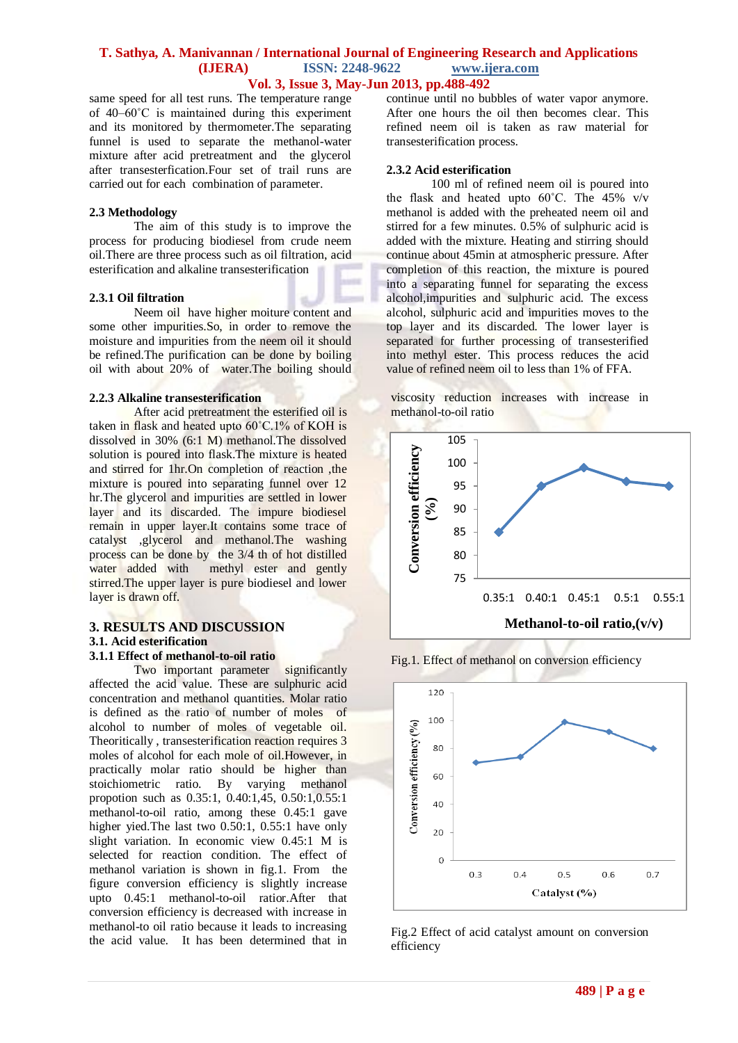# **T. Sathya, A. Manivannan / International Journal of Engineering Research and Applications (IJERA) ISSN: 2248-9622 www.ijera.com Vol. 3, Issue 3, May-Jun 2013, pp.488-492**

same speed for all test runs. The temperature range of 40–60˚C is maintained during this experiment and its monitored by thermometer.The separating funnel is used to separate the methanol-water mixture after acid pretreatment and the glycerol after transesterfication.Four set of trail runs are carried out for each combination of parameter.

### **2.3 Methodology**

The aim of this study is to improve the process for producing biodiesel from crude neem oil.There are three process such as oil filtration, acid esterification and alkaline transesterification

### **2.3.1 Oil filtration**

Neem oil have higher moiture content and some other impurities.So, in order to remove the moisture and impurities from the neem oil it should be refined.The purification can be done by boiling oil with about 20% of water.The boiling should

### **2.2.3 Alkaline transesterification**

After acid pretreatment the esterified oil is taken in flask and heated upto 60˚C.1% of KOH is dissolved in 30% (6:1 M) methanol.The dissolved solution is poured into flask.The mixture is heated and stirred for 1hr.On completion of reaction ,the mixture is poured into separating funnel over 12 hr.The glycerol and impurities are settled in lower layer and its discarded. The impure biodiesel remain in upper layer.It contains some trace of catalyst ,glycerol and methanol.The washing process can be done by the 3/4 th of hot distilled<br>water added with methyl ester and gently methyl ester and gently stirred.The upper layer is pure biodiesel and lower layer is drawn off.

# **3. RESULTS AND DISCUSSION 3.1. Acid esterification**

### **3.1.1 Effect of methanol-to-oil ratio**

Two important parameter significantly affected the acid value. These are sulphuric acid concentration and methanol quantities. Molar ratio is defined as the ratio of number of moles of alcohol to number of moles of vegetable oil. Theoritically , transesterification reaction requires 3 moles of alcohol for each mole of oil.However, in practically molar ratio should be higher than stoichiometric ratio. By varying methanol propotion such as 0.35:1, 0.40:1,45, 0.50:1,0.55:1 methanol-to-oil ratio, among these 0.45:1 gave higher yied. The last two  $0.50:1$ ,  $0.55:1$  have only slight variation. In economic view 0.45:1 M is selected for reaction condition. The effect of methanol variation is shown in fig.1. From the figure conversion efficiency is slightly increase upto 0.45:1 methanol-to-oil ratior.After that conversion efficiency is decreased with increase in methanol-to oil ratio because it leads to increasing the acid value. It has been determined that in

continue until no bubbles of water vapor anymore. After one hours the oil then becomes clear. This refined neem oil is taken as raw material for transesterification process.

### **2.3.2 Acid esterification**

100 ml of refined neem oil is poured into the flask and heated upto  $60^{\circ}$ C. The 45% v/v methanol is added with the preheated neem oil and stirred for a few minutes. 0.5% of sulphuric acid is added with the mixture. Heating and stirring should continue about 45min at atmospheric pressure. After completion of this reaction, the mixture is poured into a separating funnel for separating the excess alcohol,impurities and sulphuric acid. The excess alcohol, sulphuric acid and impurities moves to the top layer and its discarded. The lower layer is separated for further processing of transesterified into methyl ester. This process reduces the acid value of refined neem oil to less than 1% of FFA.

viscosity reduction increases with increase in methanol-to-oil ratio



Fig.1. Effect of methanol on conversion efficiency



Fig.2 Effect of acid catalyst amount on conversion efficiency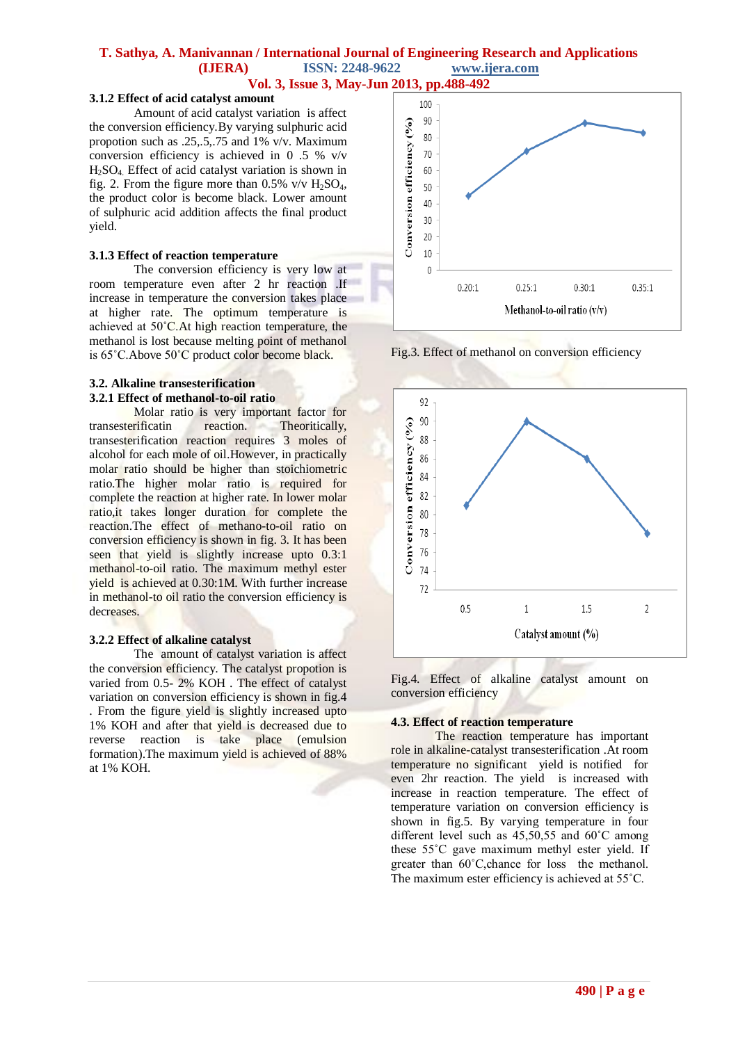# **T. Sathya, A. Manivannan / International Journal of Engineering Research and Applications (IJERA) ISSN: 2248-9622 www.ijera.com**

**Vol. 3, Issue 3, May-Jun 2013, pp.488-492**

# **3.1.2 Effect of acid catalyst amount**

Amount of acid catalyst variation is affect the conversion efficiency.By varying sulphuric acid propotion such as .25,.5,.75 and 1% v/v. Maximum conversion efficiency is achieved in 0 .5 % v/v  $H<sub>2</sub>SO<sub>4</sub>$ . Effect of acid catalyst variation is shown in fig. 2. From the figure more than  $0.5\%$  v/v  $H_2SO_4$ , the product color is become black. Lower amount of sulphuric acid addition affects the final product yield.

#### **3.1.3 Effect of reaction temperature**

The conversion efficiency is very low at room temperature even after 2 hr reaction .If increase in temperature the conversion takes place at higher rate. The optimum temperature is achieved at 50°C. At high reaction temperature, the methanol is lost because melting point of methanol is 65˚C.Above 50˚C product color become black.

### **3.2. Alkaline transesterification 3.2.1 Effect of methanol-to-oil ratio**

Molar ratio is very important factor for transesterificatin reaction. Theoritically, transesterification reaction requires 3 moles of alcohol for each mole of oil.However, in practically molar ratio should be higher than stoichiometric ratio.The higher molar ratio is required for complete the reaction at higher rate. In lower molar ratio,it takes longer duration for complete the reaction.The effect of methano-to-oil ratio on conversion efficiency is shown in fig. 3. It has been seen that yield is slightly increase upto 0.3:1 methanol-to-oil ratio. The maximum methyl ester yield is achieved at 0.30:1M. With further increase in methanol-to oil ratio the conversion efficiency is decreases.

### **3.2.2 Effect of alkaline catalyst**

The amount of catalyst variation is affect the conversion efficiency. The catalyst propotion is varied from 0.5- 2% KOH . The effect of catalyst variation on conversion efficiency is shown in fig.4 . From the figure yield is slightly increased upto 1% KOH and after that yield is decreased due to reverse reaction is take place (emulsion formation).The maximum yield is achieved of 88% at 1% KOH.



Fig.3. Effect of methanol on conversion efficiency



Fig.4. Effect of alkaline catalyst amount on conversion efficiency

### **4.3. Effect of reaction temperature**

The reaction temperature has important role in alkaline-catalyst transesterification .At room temperature no significant yield is notified for even 2hr reaction. The yield is increased with increase in reaction temperature. The effect of temperature variation on conversion efficiency is shown in fig.5. By varying temperature in four different level such as 45,50,55 and 60˚C among these 55˚C gave maximum methyl ester yield. If greater than 60˚C,chance for loss the methanol. The maximum ester efficiency is achieved at 55˚C.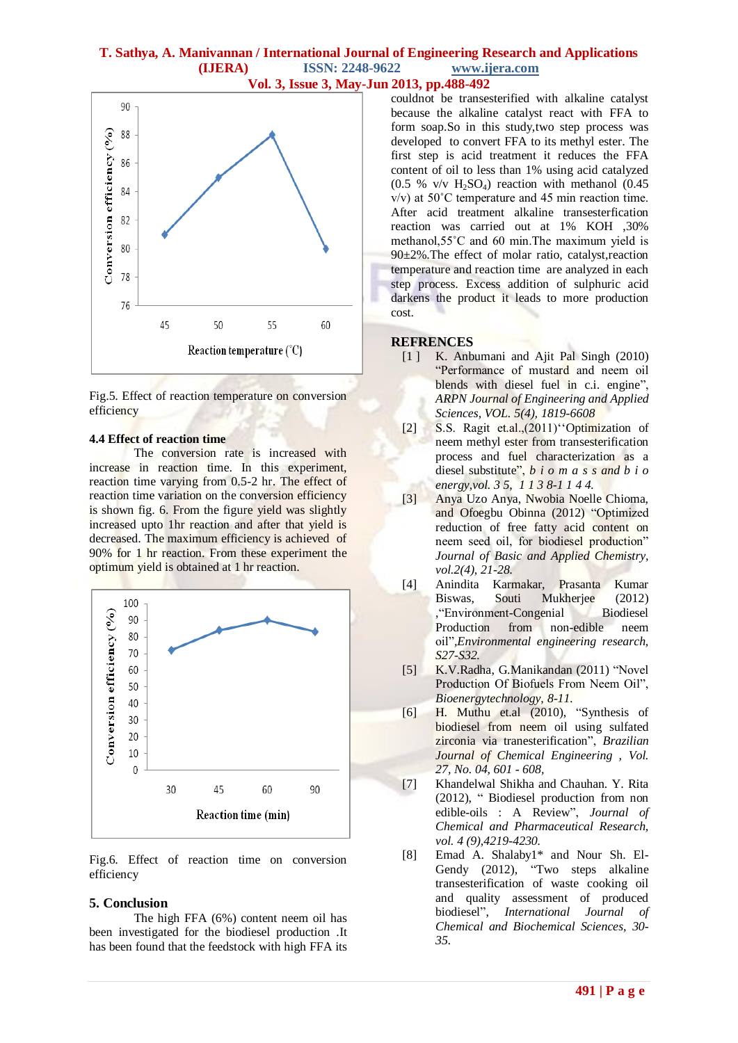# **T. Sathya, A. Manivannan / International Journal of Engineering Research and Applications (IJERA) ISSN: 2248-9622 www.ijera.com Vol. 3, Issue 3, May-Jun 2013, pp.488-492**



Fig.5. Effect of reaction temperature on conversion efficiency

### **4.4 Effect of reaction time**

The conversion rate is increased with increase in reaction time. In this experiment, reaction time varying from 0.5-2 hr. The effect of reaction time variation on the conversion efficiency is shown fig. 6. From the figure yield was slightly increased upto 1hr reaction and after that yield is decreased. The maximum efficiency is achieved of 90% for 1 hr reaction. From these experiment the optimum yield is obtained at 1 hr reaction.



Fig.6. Effect of reaction time on conversion efficiency

### **5. Conclusion**

The high FFA (6%) content neem oil has been investigated for the biodiesel production .It has been found that the feedstock with high FFA its couldnot be transesterified with alkaline catalyst because the alkaline catalyst react with FFA to form soap.So in this study,two step process was developed to convert FFA to its methyl ester. The first step is acid treatment it reduces the FFA content of oil to less than 1% using acid catalyzed  $(0.5 % V/V H<sub>2</sub>SO<sub>4</sub>)$  reaction with methanol  $(0.45 % V/V H<sub>2</sub>SO<sub>4</sub>)$ v/v) at 50˚C temperature and 45 min reaction time. After acid treatment alkaline transesterfication reaction was carried out at 1% KOH ,30% methanol,55˚C and 60 min.The maximum yield is 90±2%.The effect of molar ratio, catalyst,reaction temperature and reaction time are analyzed in each step process. Excess addition of sulphuric acid darkens the product it leads to more production cost.

### **REFRENCES**

- [1 ] K. Anbumani and Ajit Pal Singh (2010) "Performance of mustard and neem oil blends with diesel fuel in c.i. engine", *ARPN Journal of Engineering and Applied Sciences, VOL. 5(4), 1819-6608*
- [2] S.S. Ragit et.al.,(2011) Optimization of neem methyl ester from transesterification process and fuel characterization as a diesel substitute", *b i o m a s s and b i o energy,vol. 3 5, 1 1 3 8-1 1 4 4.*
- [3] Anya Uzo Anya, Nwobia Noelle Chioma, and Ofoegbu Obinna (2012) "Optimized reduction of free fatty acid content on neem seed oil, for biodiesel production" *Journal of Basic and Applied Chemistry, vol.2(4), 21-28.*
- [4] Anindita Karmakar, Prasanta Kumar Biswas, Souti Mukherjee (2012) ,"Environment-Congenial Biodiesel Production from non-edible neem oil"*,Environmental engineering research, S27-S32.*
- [5] K.V.Radha, G.Manikandan (2011) "Novel Production Of Biofuels From Neem Oil", *Bioenergytechnology, 8-11.*
- [6] H. Muthu et.al (2010), "Synthesis of biodiesel from neem oil using sulfated zirconia via tranesterification", *Brazilian Journal of Chemical Engineering , Vol. 27, No. 04, 601 - 608,*
- [7] Khandelwal Shikha and Chauhan. Y. Rita (2012), " Biodiesel production from non edible-oils : A Review", *Journal of Chemical and Pharmaceutical Research, vol. 4 (9),4219-4230.*
- [8] Emad A. Shalaby1\* and Nour Sh. El-Gendy (2012), "Two steps alkaline transesterification of waste cooking oil and quality assessment of produced biodiesel", *International Journal of Chemical and Biochemical Sciences, 30- 35.*